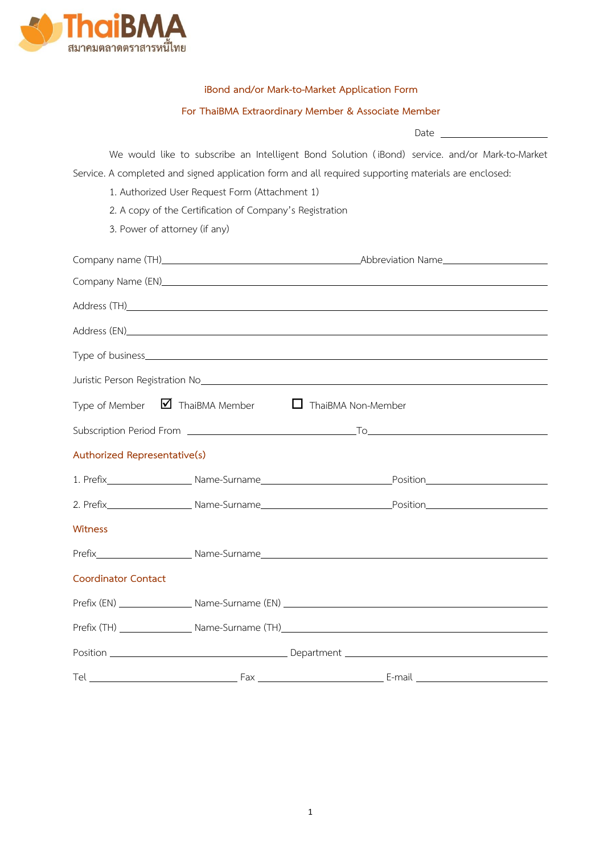

## **iBond and/or Mark-to-Market Application Form**

### **For ThaiBMA Extraordinary Member & Associate Member**

Date

We would like to subscribe an Intelligent Bond Solution ( iBond) service. and/or Mark-to-Market Service. A completed and signed application form and all required supporting materials are enclosed:

- 1. Authorized User Request Form (Attachment 1)
- 2. A copy of the Certification of Company's Registration
- 3. Power of attorney (if any)

|                              |                                                                                | Address (TH) Address (TH) Address (TH) Address (TH) Address (TH) Address (TH) Address (TH) Address (TH) Address (TH) Address (TH) Address (TH) Address (TH) Address (TH) Address (TH) Address (TH) Address (TH) Address (TH) A            |  |
|------------------------------|--------------------------------------------------------------------------------|-------------------------------------------------------------------------------------------------------------------------------------------------------------------------------------------------------------------------------------------|--|
|                              |                                                                                |                                                                                                                                                                                                                                           |  |
|                              |                                                                                |                                                                                                                                                                                                                                           |  |
|                              |                                                                                | Juristic Person Registration No <sub>c</sub> ontroller and the content of the content of the content of the content of the content of the content of the content of the content of the content of the content of the content of the conte |  |
|                              | Type of Member $\blacksquare$ ThaiBMA Member $\blacksquare$ ThaiBMA Non-Member |                                                                                                                                                                                                                                           |  |
|                              |                                                                                |                                                                                                                                                                                                                                           |  |
| Authorized Representative(s) |                                                                                |                                                                                                                                                                                                                                           |  |
|                              |                                                                                |                                                                                                                                                                                                                                           |  |
|                              |                                                                                |                                                                                                                                                                                                                                           |  |
| Witness                      |                                                                                |                                                                                                                                                                                                                                           |  |
|                              |                                                                                |                                                                                                                                                                                                                                           |  |
| <b>Coordinator Contact</b>   |                                                                                |                                                                                                                                                                                                                                           |  |
|                              |                                                                                |                                                                                                                                                                                                                                           |  |
|                              |                                                                                |                                                                                                                                                                                                                                           |  |
|                              |                                                                                |                                                                                                                                                                                                                                           |  |
|                              |                                                                                |                                                                                                                                                                                                                                           |  |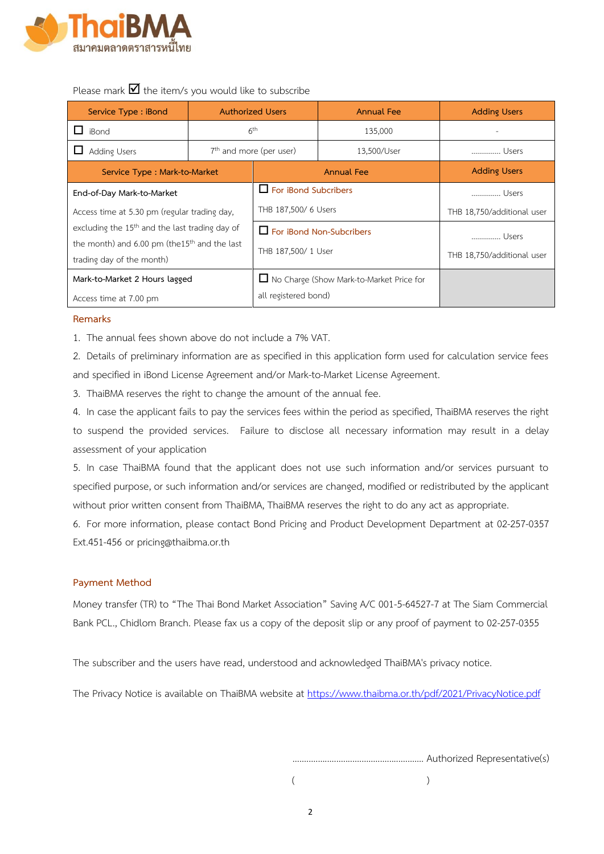

Please mark  $\blacksquare$  the item/s you would like to subscribe

| Service Type : iBond                                                           | <b>Authorized Users</b>             |                                            | <b>Annual Fee</b> | <b>Adding Users</b>        |
|--------------------------------------------------------------------------------|-------------------------------------|--------------------------------------------|-------------------|----------------------------|
| iBond                                                                          | 6 <sup>th</sup>                     |                                            | 135,000           |                            |
| <b>Adding Users</b>                                                            | 7 <sup>th</sup> and more (per user) |                                            | 13,500/User       | Users                      |
| Service Type: Mark-to-Market                                                   |                                     | <b>Annual Fee</b>                          |                   | <b>Adding Users</b>        |
| End-of-Day Mark-to-Market                                                      |                                     | $\Box$ For iBond Subcribers                |                   | Users                      |
| Access time at 5.30 pm (regular trading day,                                   |                                     | THB 187,500/ 6 Users                       |                   | THB 18,750/additional user |
| excluding the 15 <sup>th</sup> and the last trading day of                     |                                     | For iBond Non-Subcribers                   |                   | Users                      |
| the month) and $6.00$ pm (the $15th$ and the last<br>trading day of the month) |                                     | THB 187,500/ 1 User                        |                   | THB 18,750/additional user |
| Mark-to-Market 2 Hours lagged                                                  |                                     | □ No Charge (Show Mark-to-Market Price for |                   |                            |
| Access time at 7.00 pm                                                         |                                     | all registered bond)                       |                   |                            |

### **Remarks**

1. The annual fees shown above do not include a 7% VAT.

2. Details of preliminary information are as specified in this application form used for calculation service fees and specified in iBond License Agreement and/or Mark-to-Market License Agreement.

3. ThaiBMA reserves the right to change the amount of the annual fee.

4. In case the applicant fails to pay the services fees within the period as specified, ThaiBMA reserves the right to suspend the provided services. Failure to disclose all necessary information may result in a delay assessment of your application

5. In case ThaiBMA found that the applicant does not use such information and/or services pursuant to specified purpose, or such information and/or services are changed, modified or redistributed by the applicant without prior written consent from ThaiBMA, ThaiBMA reserves the right to do any act as appropriate.

6. For more information, please contact Bond Pricing and Product Development Department at 02-257-0357 Ext.451-456 or pricing@thaibma.or.th

## **Payment Method**

Money transfer (TR) to "The Thai Bond Market Association" Saving A/C 001-5-64527-7 at The Siam Commercial Bank PCL., Chidlom Branch. Please fax us a copy of the deposit slip or any proof of payment to 02-257-0355

The subscriber and the users have read, understood and acknowledged ThaiBMA's privacy notice.

The Privacy Notice is available on ThaiBMA website at https://www.thaibma.or.th/pdf/2021/[PrivacyNotice](https://www.thaibma.or.th/pdf/2021/PrivacyNotice.pdf).pdf

......................................................... Authorized Representative(s)

 $($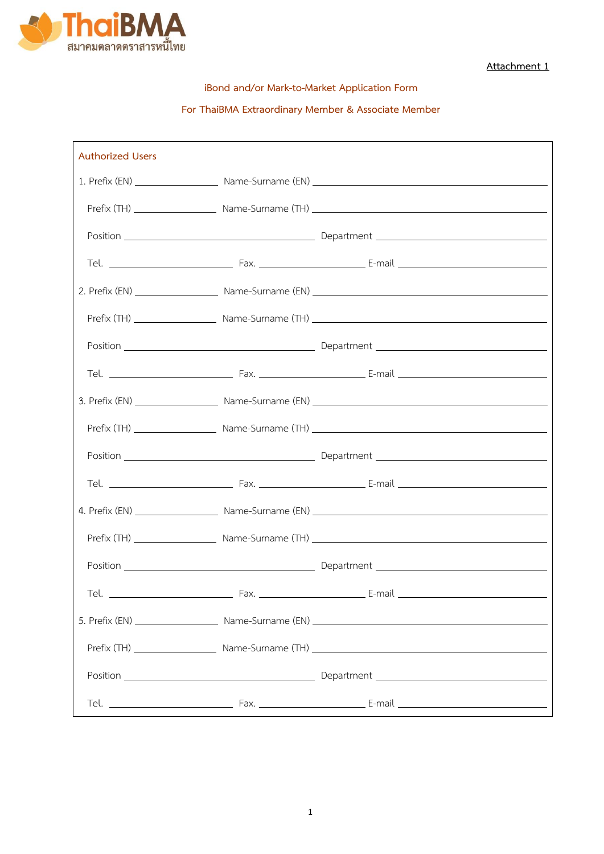

**Attachment 1**

**iBond and/or Mark-to-Market Application Form**

# **For ThaiBMA Extraordinary Member & Associate Member**

| <b>Authorized Users</b> |  |
|-------------------------|--|
|                         |  |
|                         |  |
|                         |  |
|                         |  |
|                         |  |
|                         |  |
|                         |  |
|                         |  |
|                         |  |
|                         |  |
|                         |  |
|                         |  |
|                         |  |
|                         |  |
|                         |  |
| Tel. $\_\_$             |  |
|                         |  |
|                         |  |
|                         |  |
|                         |  |